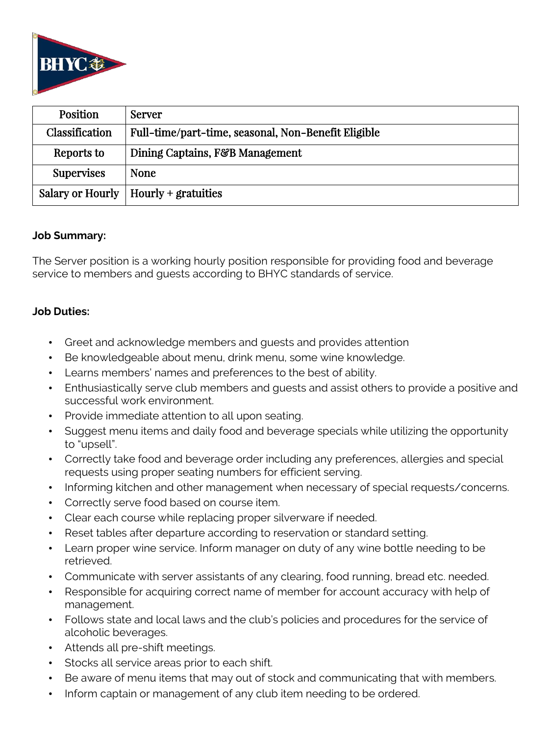

| <b>Position</b>   | Server                                              |
|-------------------|-----------------------------------------------------|
| Classification    | Full-time/part-time, seasonal, Non-Benefit Eligible |
| Reports to        | Dining Captains, F&B Management                     |
| <b>Supervises</b> | <b>None</b>                                         |
|                   | Salary or Hourly   Hourly + gratuities              |

### **Job Summary:**

The Server position is a working hourly position responsible for providing food and beverage service to members and guests according to BHYC standards of service.

### **Job Duties:**

- Greet and acknowledge members and guests and provides attention
- Be knowledgeable about menu, drink menu, some wine knowledge.
- Learns members' names and preferences to the best of ability.
- Enthusiastically serve club members and guests and assist others to provide a positive and successful work environment.
- Provide immediate attention to all upon seating.
- Suggest menu items and daily food and beverage specials while utilizing the opportunity to "upsell".
- Correctly take food and beverage order including any preferences, allergies and special requests using proper seating numbers for efficient serving.
- Informing kitchen and other management when necessary of special requests/concerns.
- Correctly serve food based on course item.
- Clear each course while replacing proper silverware if needed.
- Reset tables after departure according to reservation or standard setting.
- Learn proper wine service. Inform manager on duty of any wine bottle needing to be retrieved.
- Communicate with server assistants of any clearing, food running, bread etc. needed.
- Responsible for acquiring correct name of member for account accuracy with help of management.
- Follows state and local laws and the club's policies and procedures for the service of alcoholic beverages.
- Attends all pre-shift meetings.
- Stocks all service areas prior to each shift.
- Be aware of menu items that may out of stock and communicating that with members.
- Inform captain or management of any club item needing to be ordered.